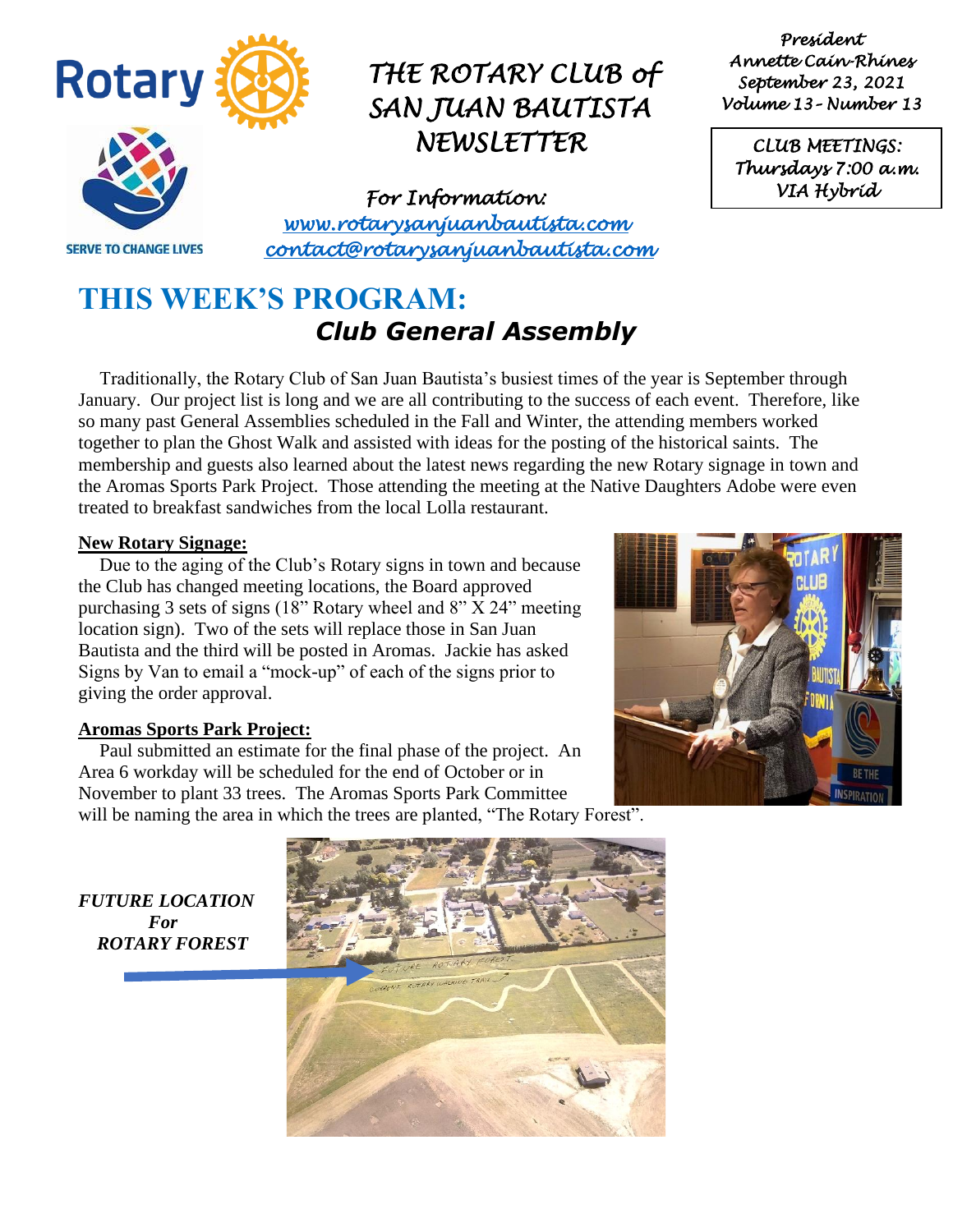

*For Information: [www.rotarysanjuanbautista.com](http://www.rotarysanjuanbautista.com/)  contact@rotarysanjuanbautista.com* 

### **THIS WEEK'S PROGRAM:**  *Club General Assembly*

Traditionally, the Rotary Club of San Juan Bautista's busiest times of the year is September through January. Our project list is long and we are all contributing to the success of each event. Therefore, like so many past General Assemblies scheduled in the Fall and Winter, the attending members worked together to plan the Ghost Walk and assisted with ideas for the posting of the historical saints. The membership and guests also learned about the latest news regarding the new Rotary signage in town and the Aromas Sports Park Project. Those attending the meeting at the Native Daughters Adobe were even treated to breakfast sandwiches from the local Lolla restaurant.

#### **New Rotary Signage:**

Due to the aging of the Club's Rotary signs in town and because the Club has changed meeting locations, the Board approved purchasing 3 sets of signs (18" Rotary wheel and 8" X 24" meeting location sign). Two of the sets will replace those in San Juan Bautista and the third will be posted in Aromas. Jackie has asked Signs by Van to email a "mock-up" of each of the signs prior to giving the order approval.

#### **Aromas Sports Park Project:**

Paul submitted an estimate for the final phase of the project. An Area 6 workday will be scheduled for the end of October or in November to plant 33 trees. The Aromas Sports Park Committee will be naming the area in which the trees are planted, "The Rotary Forest".



*FUTURE LOCATION For ROTARY FOREST*



*President Annette Cain-Rhines September 23, 2021 Volume 13– Number 13* 

*CLUB MEETINGS: Thursdays 7:00 a.m. VIA Hybrid*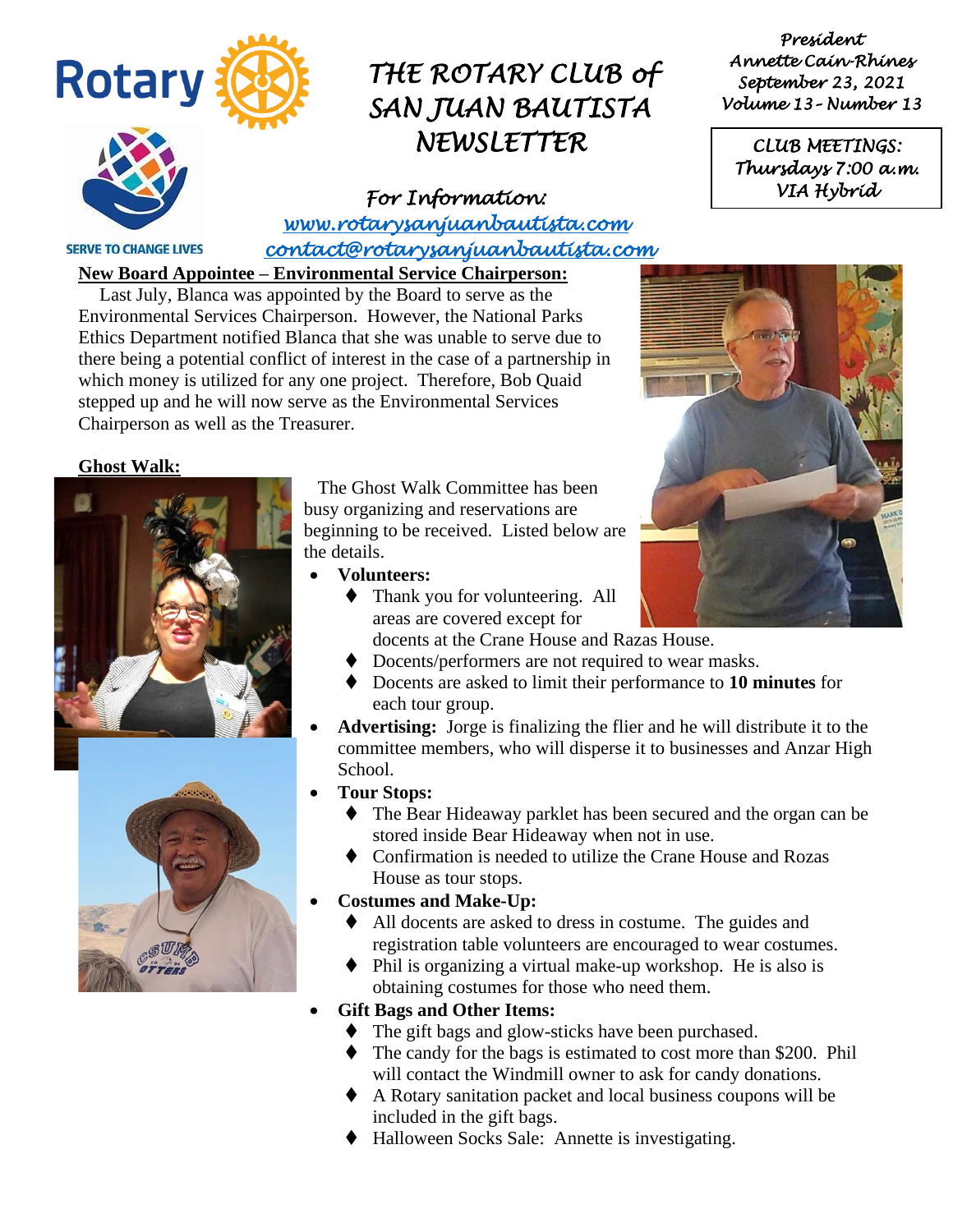

*For Information: [www.rotarysanjuanbautista.com](http://www.rotarysanjuanbautista.com/)  contact@rotarysanjuanbautista.com* 

**SERVE TO CHANGE LIVES** 

**New Board Appointee – Environmental Service Chairperson:**

Last July, Blanca was appointed by the Board to serve as the Environmental Services Chairperson. However, the National Parks Ethics Department notified Blanca that she was unable to serve due to there being a potential conflict of interest in the case of a partnership in which money is utilized for any one project. Therefore, Bob Quaid stepped up and he will now serve as the Environmental Services Chairperson as well as the Treasurer.

#### **Ghost Walk:**





 The Ghost Walk Committee has been busy organizing and reservations are beginning to be received. Listed below are the details.

- **Volunteers:** 
	- Thank you for volunteering. All areas are covered except for
		- docents at the Crane House and Razas House.
	- ♦ Docents/performers are not required to wear masks.
	- ⧫ Docents are asked to limit their performance to **10 minutes** for each tour group.
	- **Advertising:** Jorge is finalizing the flier and he will distribute it to the committee members, who will disperse it to businesses and Anzar High School.
	- **Tour Stops:**
		- ⧫ The Bear Hideaway parklet has been secured and the organ can be stored inside Bear Hideaway when not in use.
		- ⧫ Confirmation is needed to utilize the Crane House and Rozas House as tour stops.
- **Costumes and Make-Up:**
	- ⧫ All docents are asked to dress in costume. The guides and registration table volunteers are encouraged to wear costumes.
	- ⧫ Phil is organizing a virtual make-up workshop. He is also is obtaining costumes for those who need them.
- **Gift Bags and Other Items:**
	- ◆ The gift bags and glow-sticks have been purchased.
	- ◆ The candy for the bags is estimated to cost more than \$200. Phil will contact the Windmill owner to ask for candy donations.
	- ⧫ A Rotary sanitation packet and local business coupons will be included in the gift bags.
	- ⧫ Halloween Socks Sale: Annette is investigating.

*President Annette Cain-Rhines September 23, 2021 Volume 13– Number 13* 

*CLUB MEETINGS: Thursdays 7:00 a.m. VIA Hybrid* 

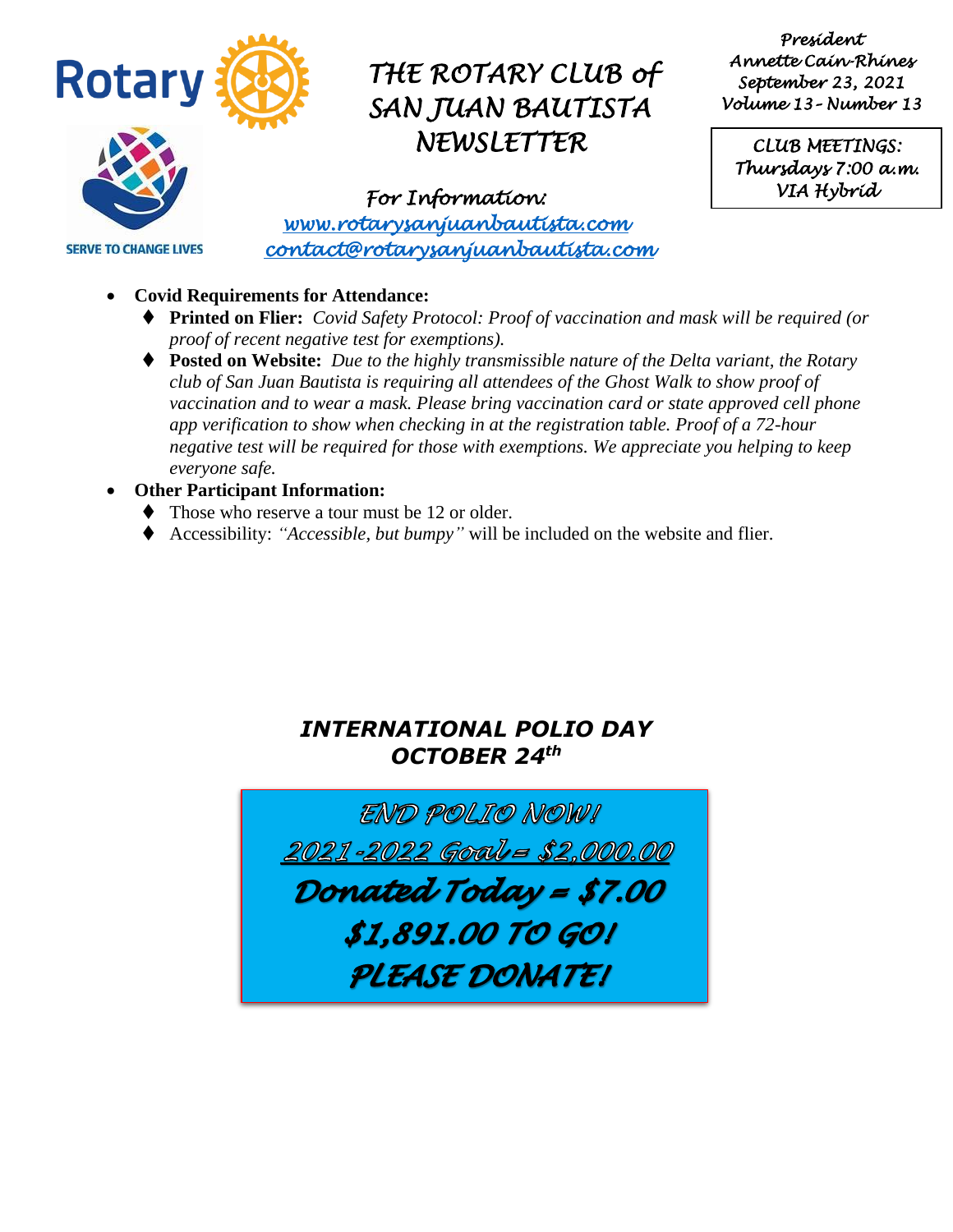

*President Annette Cain-Rhines September 23, 2021 Volume 13– Number 13* 

*CLUB MEETINGS: Thursdays 7:00 a.m. VIA Hybrid* 

**SERVE TO CHANGE LIVES** 

#### *For Information: [www.rotarysanjuanbautista.com](http://www.rotarysanjuanbautista.com/)  contact@rotarysanjuanbautista.com*

- **Covid Requirements for Attendance:**
	- ⧫ **Printed on Flier:** *Covid Safety Protocol: Proof of vaccination and mask will be required (or proof of recent negative test for exemptions).*
	- ⧫ **Posted on Website:** *Due to the highly transmissible nature of the Delta variant, the Rotary club of San Juan Bautista is requiring all attendees of the Ghost Walk to show proof of vaccination and to wear a mask. Please bring vaccination card or state approved cell phone app verification to show when checking in at the registration table. Proof of a 72-hour negative test will be required for those with exemptions. We appreciate you helping to keep everyone safe.*

#### • **Other Participant Information:**

- ◆ Those who reserve a tour must be 12 or older.
- ⧫ Accessibility: *"Accessible, but bumpy"* will be included on the website and flier.

### *INTERNATIONAL POLIO DAY OCTOBER 24th*

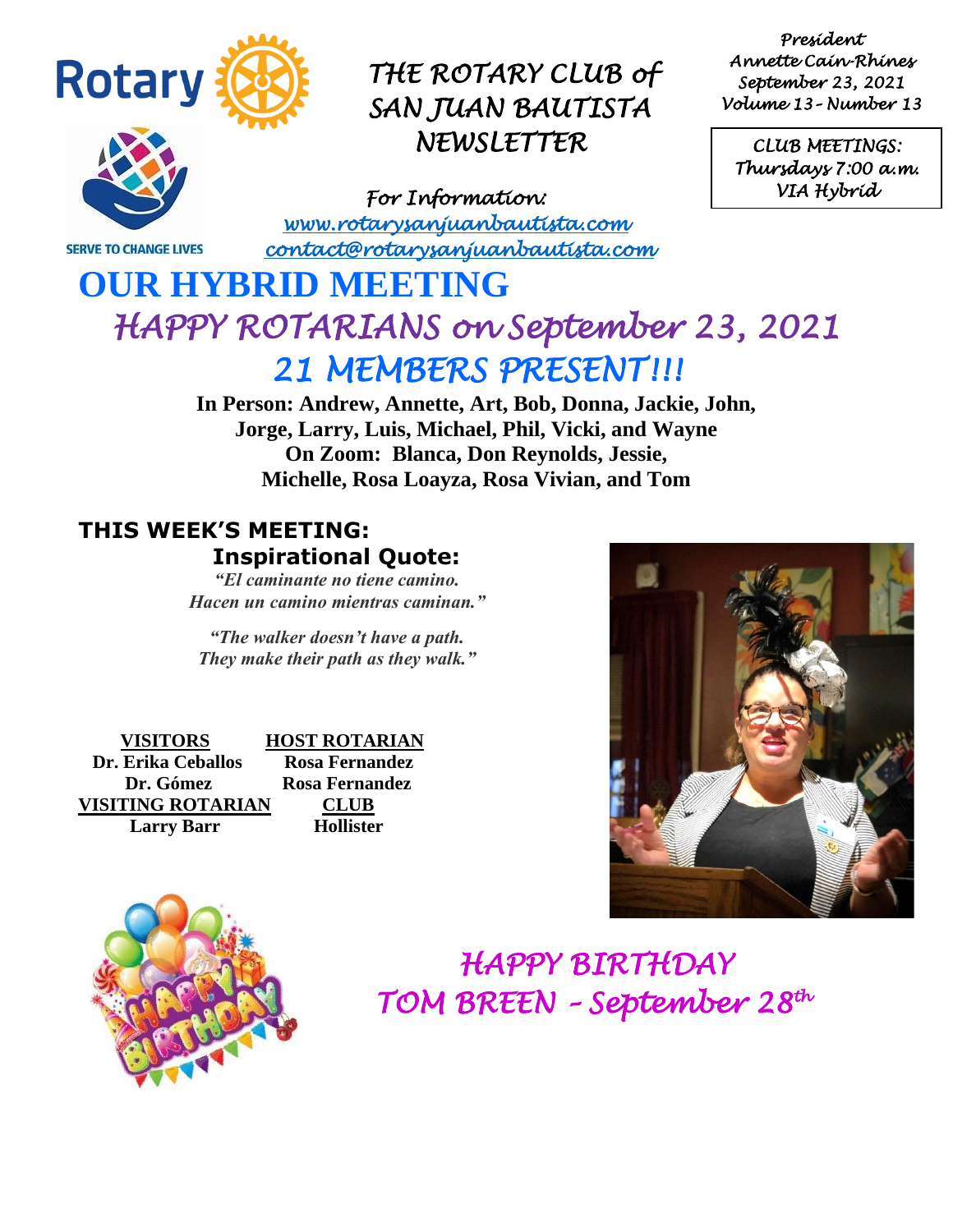

**SERVE TO CHANGE LIVES** 

## *THE ROTARY CLUB of SAN JUAN BAUTISTA NEWSLETTER*

*For Information: [www.rotarysanjuanbautista.com](http://www.rotarysanjuanbautista.com/)  contact@rotarysanjuanbautista.com* 

*President Annette Cain-Rhines September 23, 2021 Volume 13– Number 13* 

*CLUB MEETINGS: Thursdays 7:00 a.m. VIA Hybrid* 

# **OUR HYBRID MEETING**  *HAPPY ROTARIANS on September 23, 2021 21 MEMBERS PRESENT!!!*

**In Person: Andrew, Annette, Art, Bob, Donna, Jackie, John, Jorge, Larry, Luis, Michael, Phil, Vicki, and Wayne On Zoom: Blanca, Don Reynolds, Jessie, Michelle, Rosa Loayza, Rosa Vivian, and Tom**

### **THIS WEEK'S MEETING: Inspirational Quote:**

*"El caminante no tiene camino. Hacen un camino mientras caminan."*

*"The walker doesn't have a path. They make their path as they walk."*

 **VISITORS HOST ROTARIAN Dr. Erika Ceballos Rosa Fernandez Dr. Gómez Rosa Fernandez VISITING ROTARIAN CLUB Larry Barr Hollister**





 *HAPPY BIRTHDAY TOM BREEN – September 28th*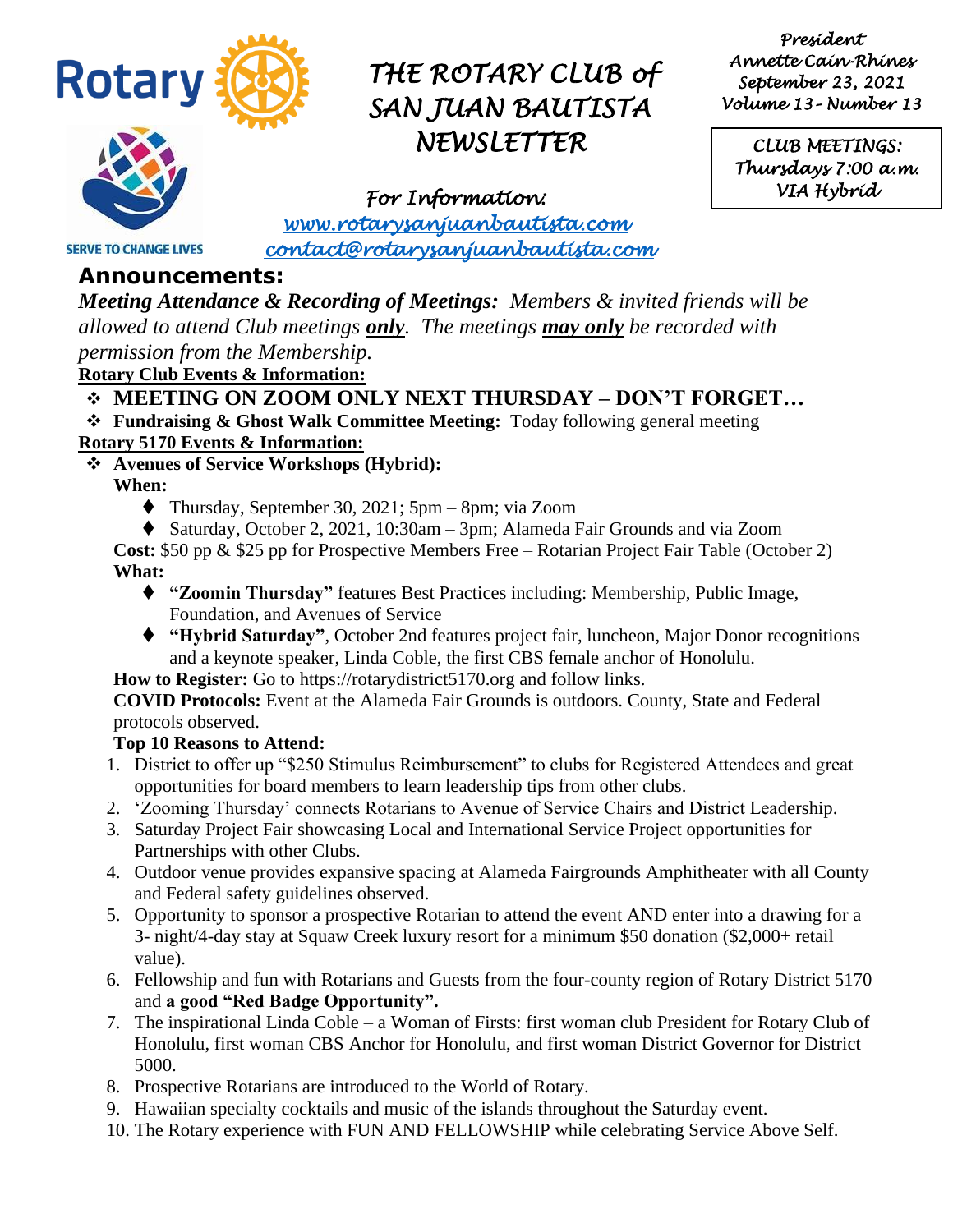

*President Annette Cain-Rhines September 23, 2021 Volume 13– Number 13* 

*CLUB MEETINGS: Thursdays 7:00 a.m. VIA Hybrid* 

*For Information: [www.rotarysanjuanbautista.com](http://www.rotarysanjuanbautista.com/)* 

 *contact@rotarysanjuanbautista.com* 

### **Announcements:**

**SERVE TO CHANGE LIVES** 

*Meeting Attendance & Recording of Meetings: Members & invited friends will be allowed to attend Club meetings only. The meetings may only be recorded with permission from the Membership.*

**Rotary Club Events & Information:**

#### ❖ **MEETING ON ZOOM ONLY NEXT THURSDAY – DON'T FORGET…**

- ❖ **Fundraising & Ghost Walk Committee Meeting:** Today following general meeting **Rotary 5170 Events & Information:**
- ❖ **Avenues of Service Workshops (Hybrid):**

**When:**

- $\blacklozenge$  Thursday, September 30, 2021; 5pm 8pm; via Zoom
- ◆ Saturday, October 2, 2021, 10:30am 3pm; Alameda Fair Grounds and via Zoom

**Cost:** \$50 pp & \$25 pp for Prospective Members Free – Rotarian Project Fair Table (October 2) **What:**

- ⧫ **"Zoomin Thursday"** features Best Practices including: Membership, Public Image, Foundation, and Avenues of Service
- ⧫ **"Hybrid Saturday"**, October 2nd features project fair, luncheon, Major Donor recognitions and a keynote speaker, Linda Coble, the first CBS female anchor of Honolulu.

**How to Register:** Go to https://rotarydistrict5170.org and follow links.

**COVID Protocols:** Event at the Alameda Fair Grounds is outdoors. County, State and Federal protocols observed.

#### **Top 10 Reasons to Attend:**

- 1. District to offer up "\$250 Stimulus Reimbursement" to clubs for Registered Attendees and great opportunities for board members to learn leadership tips from other clubs.
- 2. 'Zooming Thursday' connects Rotarians to Avenue of Service Chairs and District Leadership.
- 3. Saturday Project Fair showcasing Local and International Service Project opportunities for Partnerships with other Clubs.
- 4. Outdoor venue provides expansive spacing at Alameda Fairgrounds Amphitheater with all County and Federal safety guidelines observed.
- 5. Opportunity to sponsor a prospective Rotarian to attend the event AND enter into a drawing for a 3- night/4-day stay at Squaw Creek luxury resort for a minimum \$50 donation (\$2,000+ retail value).
- 6. Fellowship and fun with Rotarians and Guests from the four-county region of Rotary District 5170 and **a good "Red Badge Opportunity".**
- 7. The inspirational Linda Coble a Woman of Firsts: first woman club President for Rotary Club of Honolulu, first woman CBS Anchor for Honolulu, and first woman District Governor for District 5000.
- 8. Prospective Rotarians are introduced to the World of Rotary.
- 9. Hawaiian specialty cocktails and music of the islands throughout the Saturday event.
- 10. The Rotary experience with FUN AND FELLOWSHIP while celebrating Service Above Self.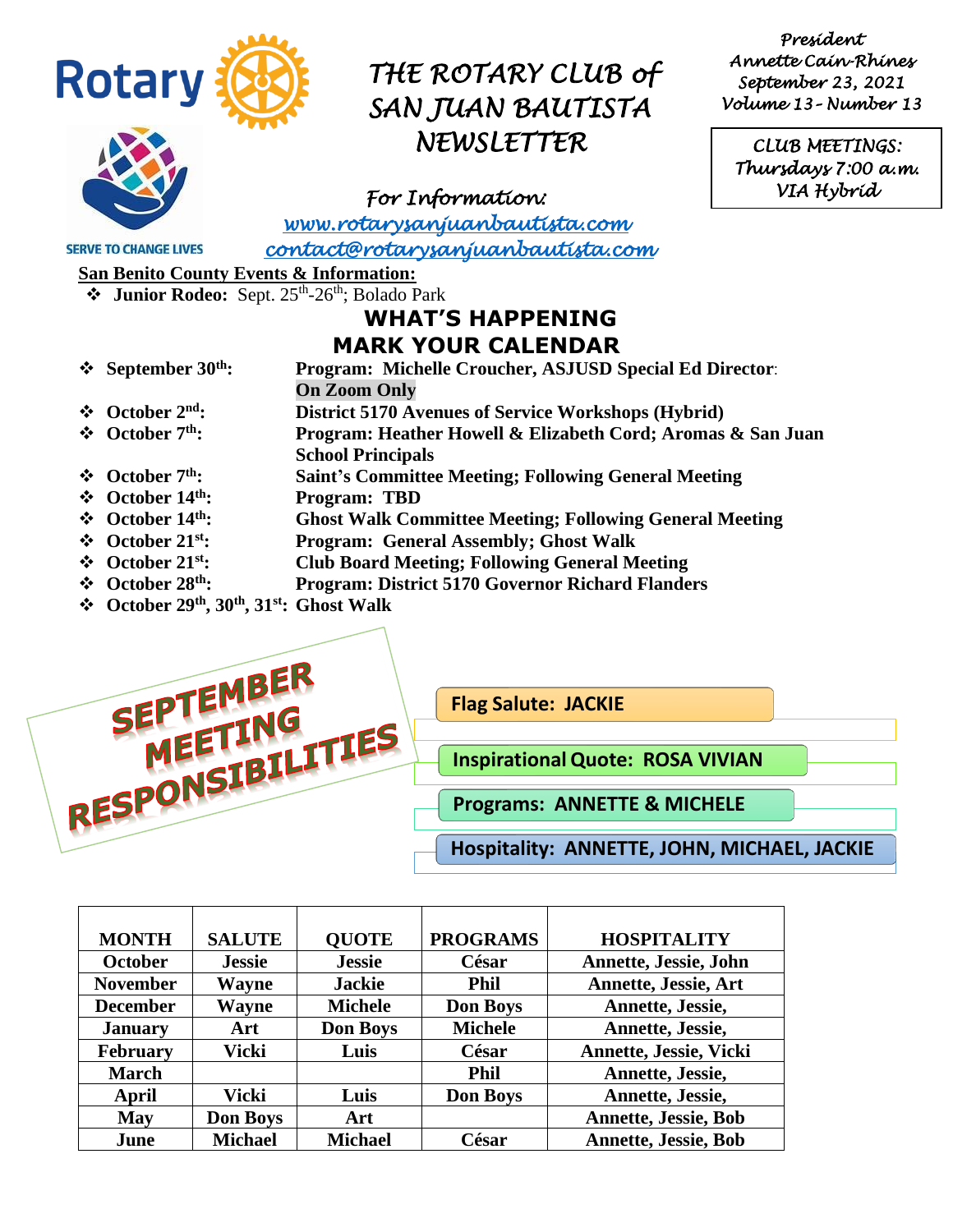

*President Annette Cain-Rhines September 23, 2021 Volume 13– Number 13* 

*CLUB MEETINGS: Thursdays 7:00 a.m. VIA Hybrid* 

*For Information:* 

*[www.rotarysanjuanbautista.com](http://www.rotarysanjuanbautista.com/)* 

**SERVE TO CHANGE LIVES** 

 *contact@rotarysanjuanbautista.com* 

**San Benito County Events & Information:**

**❖** Junior Rodeo: Sept. 25<sup>th</sup>-26<sup>th</sup>; Bolado Park

### **WHAT'S HAPPENING MARK YOUR CALENDAR**

- ❖ **September 30th: Program: Michelle Croucher, ASJUSD Special Ed Director**:
	- **On Zoom Only**
- ❖ **October 2nd: District 5170 Avenues of Service Workshops (Hybrid)**
- ❖ **October 7th: Program: Heather Howell & Elizabeth Cord; Aromas & San Juan** 
	- **School Principals**
- ❖ **October 7 th: Saint's Committee Meeting; Following General Meeting**
- **❖** October 14<sup>th</sup>: Program: TBD<br>❖ October 14<sup>th</sup>: Ghost Walk Cou
- **Ghost Walk Committee Meeting; Following General Meeting**
- ❖ **October 21st: Program: General Assembly; Ghost Walk**
- ❖ **October 21st: Club Board Meeting; Following General Meeting**
- ❖ **October 28th: Program: District 5170 Governor Richard Flanders**
- ❖ **October 29th, 30th, 31st: Ghost Walk**



| <b>MONTH</b>    | <b>SALUTE</b>   | <b>OUOTE</b>    | <b>PROGRAMS</b> | <b>HOSPITALITY</b>           |
|-----------------|-----------------|-----------------|-----------------|------------------------------|
| <b>October</b>  | <b>Jessie</b>   | <b>Jessie</b>   | César           | <b>Annette, Jessie, John</b> |
| <b>November</b> | Wayne           | <b>Jackie</b>   | <b>Phil</b>     | Annette, Jessie, Art         |
| <b>December</b> | Wayne           | <b>Michele</b>  | <b>Don Boys</b> | Annette, Jessie,             |
| <b>January</b>  | Art             | <b>Don Boys</b> | <b>Michele</b>  | Annette, Jessie,             |
| <b>February</b> | Vicki           | Luis            | César           | Annette, Jessie, Vicki       |
| <b>March</b>    |                 |                 | <b>Phil</b>     | Annette, Jessie,             |
| April           | Vicki           | Luis            | <b>Don Boys</b> | Annette, Jessie,             |
| May             | <b>Don Boys</b> | Art             |                 | <b>Annette, Jessie, Bob</b>  |
| June            | <b>Michael</b>  | <b>Michael</b>  | César           | <b>Annette, Jessie, Bob</b>  |